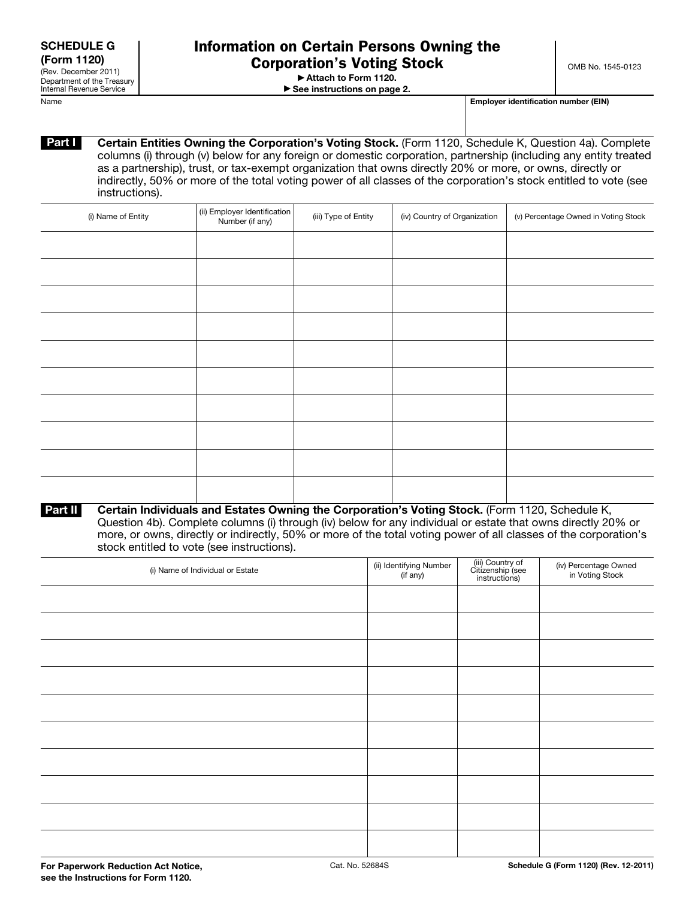| <b>SCHEDULE G</b><br>(Form 1120)<br>(Rev. December 2011)<br>Department of the Treasury<br>Internal Revenue Service |                                                                                                           | Information on Certain Persons Owning the<br><b>Corporation's Voting Stock</b><br>Attach to Form 1120.<br>See instructions on page 2. |                              |                                                                                                                                                                                                                                                                                                                                                 |  |
|--------------------------------------------------------------------------------------------------------------------|-----------------------------------------------------------------------------------------------------------|---------------------------------------------------------------------------------------------------------------------------------------|------------------------------|-------------------------------------------------------------------------------------------------------------------------------------------------------------------------------------------------------------------------------------------------------------------------------------------------------------------------------------------------|--|
| Name                                                                                                               |                                                                                                           |                                                                                                                                       |                              | <b>Employer identification number (EIN)</b>                                                                                                                                                                                                                                                                                                     |  |
| Part I<br>instructions).                                                                                           | as a partnership), trust, or tax-exempt organization that owns directly 20% or more, or owns, directly or |                                                                                                                                       |                              | Certain Entities Owning the Corporation's Voting Stock. (Form 1120, Schedule K, Question 4a). Complete<br>columns (i) through (v) below for any foreign or domestic corporation, partnership (including any entity treated<br>indirectly, 50% or more of the total voting power of all classes of the corporation's stock entitled to vote (see |  |
| (i) Name of Entity                                                                                                 | (ii) Employer Identification<br>Number (if any)                                                           | (iii) Type of Entity                                                                                                                  | (iv) Country of Organization | (v) Percentage Owned in Voting Stock                                                                                                                                                                                                                                                                                                            |  |
|                                                                                                                    |                                                                                                           |                                                                                                                                       |                              |                                                                                                                                                                                                                                                                                                                                                 |  |
|                                                                                                                    |                                                                                                           |                                                                                                                                       |                              |                                                                                                                                                                                                                                                                                                                                                 |  |
|                                                                                                                    |                                                                                                           |                                                                                                                                       |                              |                                                                                                                                                                                                                                                                                                                                                 |  |
|                                                                                                                    |                                                                                                           |                                                                                                                                       |                              |                                                                                                                                                                                                                                                                                                                                                 |  |
|                                                                                                                    |                                                                                                           |                                                                                                                                       |                              |                                                                                                                                                                                                                                                                                                                                                 |  |
|                                                                                                                    |                                                                                                           |                                                                                                                                       |                              |                                                                                                                                                                                                                                                                                                                                                 |  |
|                                                                                                                    |                                                                                                           |                                                                                                                                       |                              |                                                                                                                                                                                                                                                                                                                                                 |  |
|                                                                                                                    |                                                                                                           |                                                                                                                                       |                              |                                                                                                                                                                                                                                                                                                                                                 |  |
|                                                                                                                    |                                                                                                           |                                                                                                                                       |                              |                                                                                                                                                                                                                                                                                                                                                 |  |
|                                                                                                                    |                                                                                                           |                                                                                                                                       |                              |                                                                                                                                                                                                                                                                                                                                                 |  |

Part II Certain Individuals and Estates Owning the Corporation's Voting Stock. (Form 1120, Schedule K, Question 4b). Complete columns (i) through (iv) below for any individual or estate that owns directly 20% or more, or owns, directly or indirectly, 50% or more of the total voting power of all classes of the corporation's stock entitled to vote (see instructions).

| (i) Name of Individual or Estate | (ii) Identifying Number<br>(if any) | (iii) Country of<br>Citizenship (see<br>instructions) | (iv) Percentage Owned<br>in Voting Stock |
|----------------------------------|-------------------------------------|-------------------------------------------------------|------------------------------------------|
|                                  |                                     |                                                       |                                          |
|                                  |                                     |                                                       |                                          |
|                                  |                                     |                                                       |                                          |
|                                  |                                     |                                                       |                                          |
|                                  |                                     |                                                       |                                          |
|                                  |                                     |                                                       |                                          |
|                                  |                                     |                                                       |                                          |
|                                  |                                     |                                                       |                                          |
|                                  |                                     |                                                       |                                          |
|                                  |                                     |                                                       |                                          |